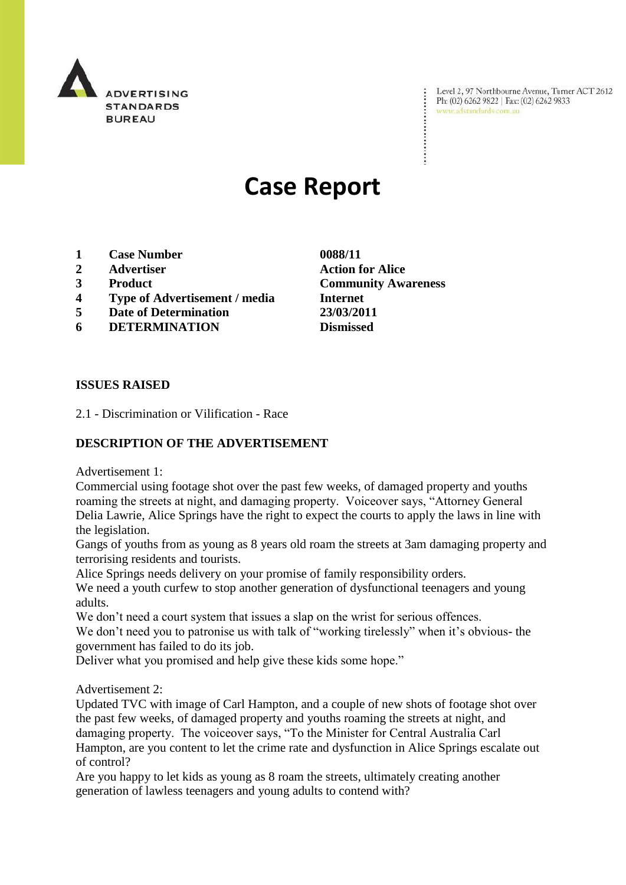

Evel 2, 97 Northbourne Avenue, Turner ACT 2612<br>Ph: (02) 6262 9822 | Fax: (02) 6262 9833 Ph: (02) 6262 9822 | Fax: (02) 6262 9833

# **Case Report**

- **1 Case Number 0088/11**
- **2 Advertiser Action for Alice**
- **3 Product Community Awareness**
- **4 Type of Advertisement / media Internet**
- **5 Date of Determination 23/03/2011**
- **6 DETERMINATION Dismissed**

**ISSUES RAISED**

2.1 - Discrimination or Vilification - Race

### **DESCRIPTION OF THE ADVERTISEMENT**

Advertisement 1:

Commercial using footage shot over the past few weeks, of damaged property and youths roaming the streets at night, and damaging property. Voiceover says, "Attorney General Delia Lawrie, Alice Springs have the right to expect the courts to apply the laws in line with the legislation.

Gangs of youths from as young as 8 years old roam the streets at 3am damaging property and terrorising residents and tourists.

Alice Springs needs delivery on your promise of family responsibility orders.

We need a youth curfew to stop another generation of dysfunctional teenagers and young adults.

We don't need a court system that issues a slap on the wrist for serious offences.

We don't need you to patronise us with talk of "working tirelessly" when it's obvious- the government has failed to do its job.

Deliver what you promised and help give these kids some hope."

#### Advertisement 2:

Updated TVC with image of Carl Hampton, and a couple of new shots of footage shot over the past few weeks, of damaged property and youths roaming the streets at night, and damaging property. The voiceover says, "To the Minister for Central Australia Carl Hampton, are you content to let the crime rate and dysfunction in Alice Springs escalate out of control?

Are you happy to let kids as young as 8 roam the streets, ultimately creating another generation of lawless teenagers and young adults to contend with?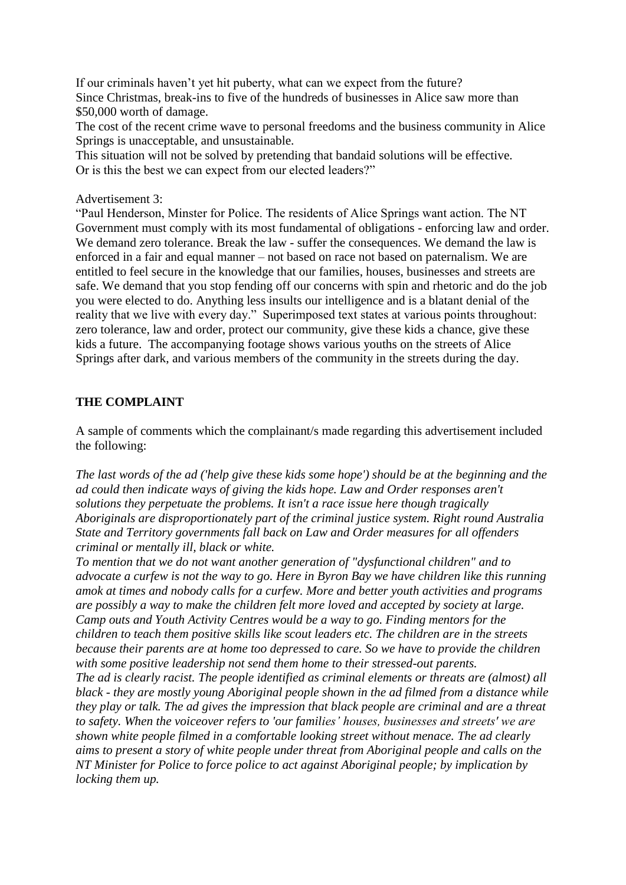If our criminals haven't yet hit puberty, what can we expect from the future? Since Christmas, break-ins to five of the hundreds of businesses in Alice saw more than \$50,000 worth of damage.

The cost of the recent crime wave to personal freedoms and the business community in Alice Springs is unacceptable, and unsustainable.

This situation will not be solved by pretending that bandaid solutions will be effective. Or is this the best we can expect from our elected leaders?"

#### Advertisement 3:

"Paul Henderson, Minster for Police. The residents of Alice Springs want action. The NT Government must comply with its most fundamental of obligations - enforcing law and order. We demand zero tolerance. Break the law - suffer the consequences. We demand the law is enforced in a fair and equal manner – not based on race not based on paternalism. We are entitled to feel secure in the knowledge that our families, houses, businesses and streets are safe. We demand that you stop fending off our concerns with spin and rhetoric and do the job you were elected to do. Anything less insults our intelligence and is a blatant denial of the reality that we live with every day." Superimposed text states at various points throughout: zero tolerance, law and order, protect our community, give these kids a chance, give these kids a future. The accompanying footage shows various youths on the streets of Alice Springs after dark, and various members of the community in the streets during the day.

#### **THE COMPLAINT**

A sample of comments which the complainant/s made regarding this advertisement included the following:

*The last words of the ad ('help give these kids some hope') should be at the beginning and the ad could then indicate ways of giving the kids hope. Law and Order responses aren't solutions they perpetuate the problems. It isn't a race issue here though tragically Aboriginals are disproportionately part of the criminal justice system. Right round Australia State and Territory governments fall back on Law and Order measures for all offenders criminal or mentally ill, black or white.*

*To mention that we do not want another generation of "dysfunctional children" and to advocate a curfew is not the way to go. Here in Byron Bay we have children like this running amok at times and nobody calls for a curfew. More and better youth activities and programs are possibly a way to make the children felt more loved and accepted by society at large. Camp outs and Youth Activity Centres would be a way to go. Finding mentors for the children to teach them positive skills like scout leaders etc. The children are in the streets because their parents are at home too depressed to care. So we have to provide the children with some positive leadership not send them home to their stressed-out parents.*

*The ad is clearly racist. The people identified as criminal elements or threats are (almost) all black - they are mostly young Aboriginal people shown in the ad filmed from a distance while they play or talk. The ad gives the impression that black people are criminal and are a threat to safety. When the voiceover refers to 'our families' houses, businesses and streets' we are shown white people filmed in a comfortable looking street without menace. The ad clearly aims to present a story of white people under threat from Aboriginal people and calls on the NT Minister for Police to force police to act against Aboriginal people; by implication by locking them up.*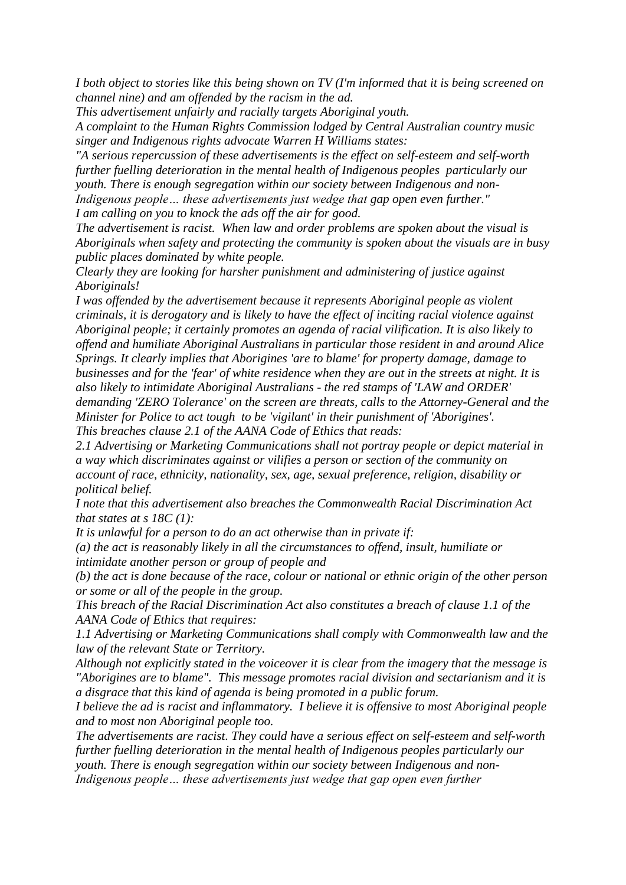*I both object to stories like this being shown on TV (I'm informed that it is being screened on channel nine) and am offended by the racism in the ad.*

*This advertisement unfairly and racially targets Aboriginal youth.* 

*A complaint to the Human Rights Commission lodged by Central Australian country music singer and Indigenous rights advocate Warren H Williams states:*

*"A serious repercussion of these advertisements is the effect on self-esteem and self-worth further fuelling deterioration in the mental health of Indigenous peoples particularly our youth. There is enough segregation within our society between Indigenous and non-Indigenous people… these advertisements just wedge that gap open even further."*

*I am calling on you to knock the ads off the air for good.*

*The advertisement is racist. When law and order problems are spoken about the visual is Aboriginals when safety and protecting the community is spoken about the visuals are in busy public places dominated by white people.*

*Clearly they are looking for harsher punishment and administering of justice against Aboriginals!*

*I was offended by the advertisement because it represents Aboriginal people as violent criminals, it is derogatory and is likely to have the effect of inciting racial violence against Aboriginal people; it certainly promotes an agenda of racial vilification. It is also likely to offend and humiliate Aboriginal Australians in particular those resident in and around Alice Springs. It clearly implies that Aborigines 'are to blame' for property damage, damage to businesses and for the 'fear' of white residence when they are out in the streets at night. It is also likely to intimidate Aboriginal Australians - the red stamps of 'LAW and ORDER' demanding 'ZERO Tolerance' on the screen are threats, calls to the Attorney-General and the Minister for Police to act tough to be 'vigilant' in their punishment of 'Aborigines'. This breaches clause 2.1 of the AANA Code of Ethics that reads:* 

*2.1 Advertising or Marketing Communications shall not portray people or depict material in a way which discriminates against or vilifies a person or section of the community on account of race, ethnicity, nationality, sex, age, sexual preference, religion, disability or political belief.*

*I note that this advertisement also breaches the Commonwealth Racial Discrimination Act that states at s 18C (1):*

*It is unlawful for a person to do an act otherwise than in private if:*

*(a) the act is reasonably likely in all the circumstances to offend, insult, humiliate or intimidate another person or group of people and*

*(b) the act is done because of the race, colour or national or ethnic origin of the other person or some or all of the people in the group.*

*This breach of the Racial Discrimination Act also constitutes a breach of clause 1.1 of the AANA Code of Ethics that requires:*

*1.1 Advertising or Marketing Communications shall comply with Commonwealth law and the law of the relevant State or Territory.*

*Although not explicitly stated in the voiceover it is clear from the imagery that the message is "Aborigines are to blame". This message promotes racial division and sectarianism and it is a disgrace that this kind of agenda is being promoted in a public forum.*

*I believe the ad is racist and inflammatory. I believe it is offensive to most Aboriginal people and to most non Aboriginal people too.*

*The advertisements are racist. They could have a serious effect on self-esteem and self-worth further fuelling deterioration in the mental health of Indigenous peoples particularly our* 

*youth. There is enough segregation within our society between Indigenous and non-*

*Indigenous people… these advertisements just wedge that gap open even further*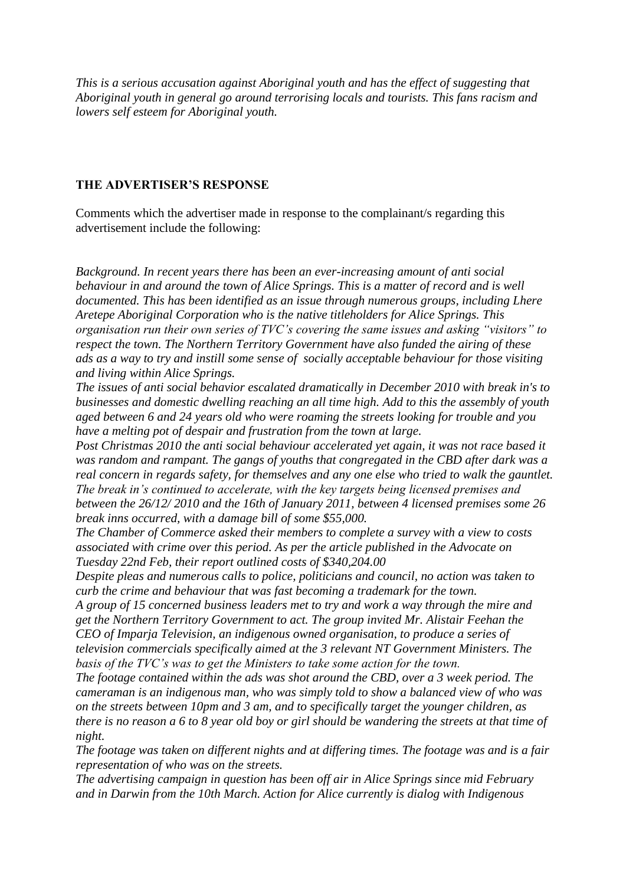*This is a serious accusation against Aboriginal youth and has the effect of suggesting that Aboriginal youth in general go around terrorising locals and tourists. This fans racism and lowers self esteem for Aboriginal youth.*

#### **THE ADVERTISER'S RESPONSE**

Comments which the advertiser made in response to the complainant/s regarding this advertisement include the following:

*Background. In recent years there has been an ever-increasing amount of anti social behaviour in and around the town of Alice Springs. This is a matter of record and is well documented. This has been identified as an issue through numerous groups, including Lhere Aretepe Aboriginal Corporation who is the native titleholders for Alice Springs. This organisation run their own series of TVC's covering the same issues and asking "visitors" to respect the town. The Northern Territory Government have also funded the airing of these ads as a way to try and instill some sense of socially acceptable behaviour for those visiting and living within Alice Springs.*

*The issues of anti social behavior escalated dramatically in December 2010 with break in's to businesses and domestic dwelling reaching an all time high. Add to this the assembly of youth aged between 6 and 24 years old who were roaming the streets looking for trouble and you have a melting pot of despair and frustration from the town at large.* 

*Post Christmas 2010 the anti social behaviour accelerated yet again, it was not race based it was random and rampant. The gangs of youths that congregated in the CBD after dark was a real concern in regards safety, for themselves and any one else who tried to walk the gauntlet. The break in's continued to accelerate, with the key targets being licensed premises and between the 26/12/ 2010 and the 16th of January 2011, between 4 licensed premises some 26 break inns occurred, with a damage bill of some \$55,000.*

*The Chamber of Commerce asked their members to complete a survey with a view to costs associated with crime over this period. As per the article published in the Advocate on Tuesday 22nd Feb, their report outlined costs of \$340,204.00* 

*Despite pleas and numerous calls to police, politicians and council, no action was taken to curb the crime and behaviour that was fast becoming a trademark for the town.*

*A group of 15 concerned business leaders met to try and work a way through the mire and get the Northern Territory Government to act. The group invited Mr. Alistair Feehan the CEO of Imparja Television, an indigenous owned organisation, to produce a series of television commercials specifically aimed at the 3 relevant NT Government Ministers. The basis of the TVC's was to get the Ministers to take some action for the town.* 

*The footage contained within the ads was shot around the CBD, over a 3 week period. The cameraman is an indigenous man, who was simply told to show a balanced view of who was on the streets between 10pm and 3 am, and to specifically target the younger children, as there is no reason a 6 to 8 year old boy or girl should be wandering the streets at that time of night.*

*The footage was taken on different nights and at differing times. The footage was and is a fair representation of who was on the streets.* 

*The advertising campaign in question has been off air in Alice Springs since mid February and in Darwin from the 10th March. Action for Alice currently is dialog with Indigenous*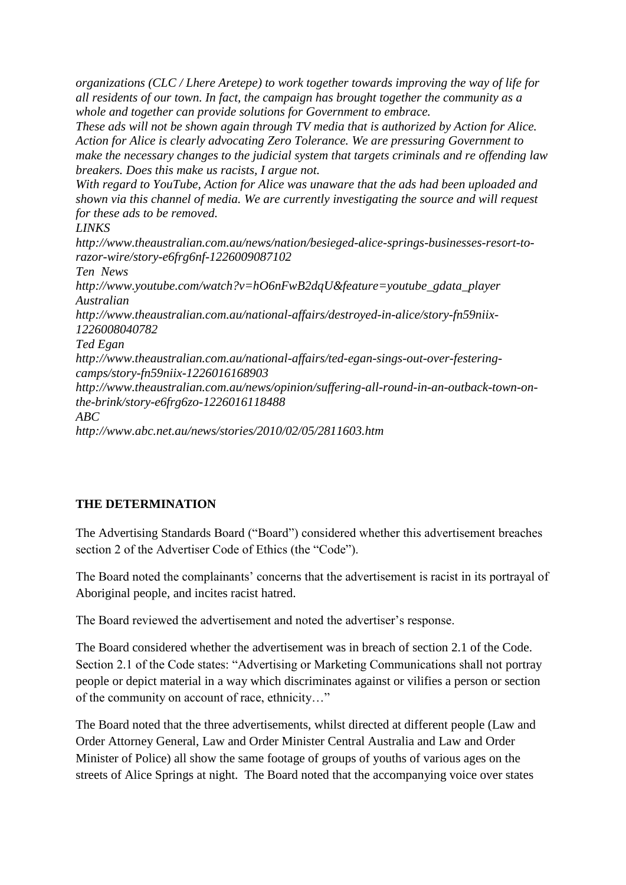*organizations (CLC / Lhere Aretepe) to work together towards improving the way of life for all residents of our town. In fact, the campaign has brought together the community as a whole and together can provide solutions for Government to embrace.* 

*These ads will not be shown again through TV media that is authorized by Action for Alice. Action for Alice is clearly advocating Zero Tolerance. We are pressuring Government to make the necessary changes to the judicial system that targets criminals and re offending law breakers. Does this make us racists, I argue not.*

*With regard to YouTube, Action for Alice was unaware that the ads had been uploaded and shown via this channel of media. We are currently investigating the source and will request for these ads to be removed.* 

## *LINKS*

*http://www.theaustralian.com.au/news/nation/besieged-alice-springs-businesses-resort-torazor-wire/story-e6frg6nf-1226009087102 Ten News http://www.youtube.com/watch?v=hO6nFwB2dqU&feature=youtube\_gdata\_player Australian http://www.theaustralian.com.au/national-affairs/destroyed-in-alice/story-fn59niix-1226008040782 Ted Egan http://www.theaustralian.com.au/national-affairs/ted-egan-sings-out-over-festeringcamps/story-fn59niix-1226016168903 http://www.theaustralian.com.au/news/opinion/suffering-all-round-in-an-outback-town-onthe-brink/story-e6frg6zo-1226016118488 ABC http://www.abc.net.au/news/stories/2010/02/05/2811603.htm*

# **THE DETERMINATION**

The Advertising Standards Board ("Board") considered whether this advertisement breaches section 2 of the Advertiser Code of Ethics (the "Code").

The Board noted the complainants' concerns that the advertisement is racist in its portrayal of Aboriginal people, and incites racist hatred.

The Board reviewed the advertisement and noted the advertiser's response.

The Board considered whether the advertisement was in breach of section 2.1 of the Code. Section 2.1 of the Code states: "Advertising or Marketing Communications shall not portray people or depict material in a way which discriminates against or vilifies a person or section of the community on account of race, ethnicity…"

The Board noted that the three advertisements, whilst directed at different people (Law and Order Attorney General, Law and Order Minister Central Australia and Law and Order Minister of Police) all show the same footage of groups of youths of various ages on the streets of Alice Springs at night. The Board noted that the accompanying voice over states